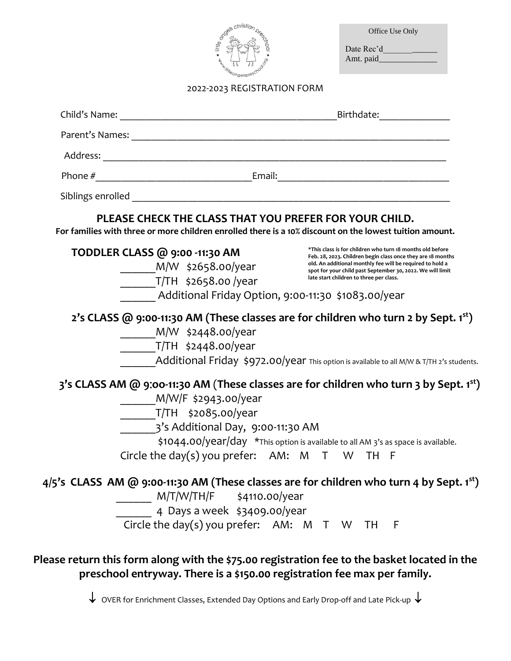| · little one                                                                                                                                 |                             | Office Use Only<br>Date Rec'd                                                                                                                                                                                                                                                                  |
|----------------------------------------------------------------------------------------------------------------------------------------------|-----------------------------|------------------------------------------------------------------------------------------------------------------------------------------------------------------------------------------------------------------------------------------------------------------------------------------------|
| <b>HALLAND IN STRAIGHT</b>                                                                                                                   | 2022-2023 REGISTRATION FORM |                                                                                                                                                                                                                                                                                                |
|                                                                                                                                              |                             |                                                                                                                                                                                                                                                                                                |
|                                                                                                                                              |                             |                                                                                                                                                                                                                                                                                                |
|                                                                                                                                              |                             |                                                                                                                                                                                                                                                                                                |
|                                                                                                                                              |                             |                                                                                                                                                                                                                                                                                                |
|                                                                                                                                              |                             |                                                                                                                                                                                                                                                                                                |
| TODDLER CLASS @ 9:00 -11:30 AM<br>________M/W \$2658.oo/year<br>$T/TH$ \$2658.00/year<br>Additional Friday Option, 9:00-11:30 \$1083.00/year |                             | *This class is for children who turn 18 months old before<br>Feb. 28, 2023. Children begin class once they are 18 months<br>old. An additional monthly fee will be required to hold a<br>spot for your child past September 30, 2022. We will limit<br>late start children to three per class. |
| M/W \$2448.00/year<br>_________T/TH \$2448.00/year                                                                                           |                             | 2's CLASS @ 9:00-11:30 AM (These classes are for children who turn 2 by Sept. 1st)<br>Additional Friday $\frac{1}{2}972.00$ /year This option is available to all M/W & T/TH 2's students.                                                                                                     |
| M/W/F \$2943.00/year<br>T/TH \$2085.00/year<br>3's Additional Day, 9:00-11:30 AM<br>Circle the day(s) you prefer: AM: M T W TH F             |                             | 3's CLASS AM @ 9:00-11:30 AM (These classes are for children who turn 3 by Sept. 1st)<br>$\frac{1}{2}1044.00/\text{year/day}$ *This option is available to all AM 3's as space is available.                                                                                                   |
| 4 Days a week \$3409.00/year<br>Circle the day(s) you prefer: AM: M T W TH F                                                                 |                             | $4/5$ 's CLASS AM @ 9:00-11:30 AM (These classes are for children who turn 4 by Sept. 1 <sup>st</sup> )                                                                                                                                                                                        |
|                                                                                                                                              |                             | Please return this form along with the \$75.00 registration fee to the basket located in the<br>preschool entryway. There is a \$150.00 registration fee max per family.                                                                                                                       |

 $\downarrow$  OVER for Enrichment Classes, Extended Day Options and Early Drop-off and Late Pick-up  $\downarrow$